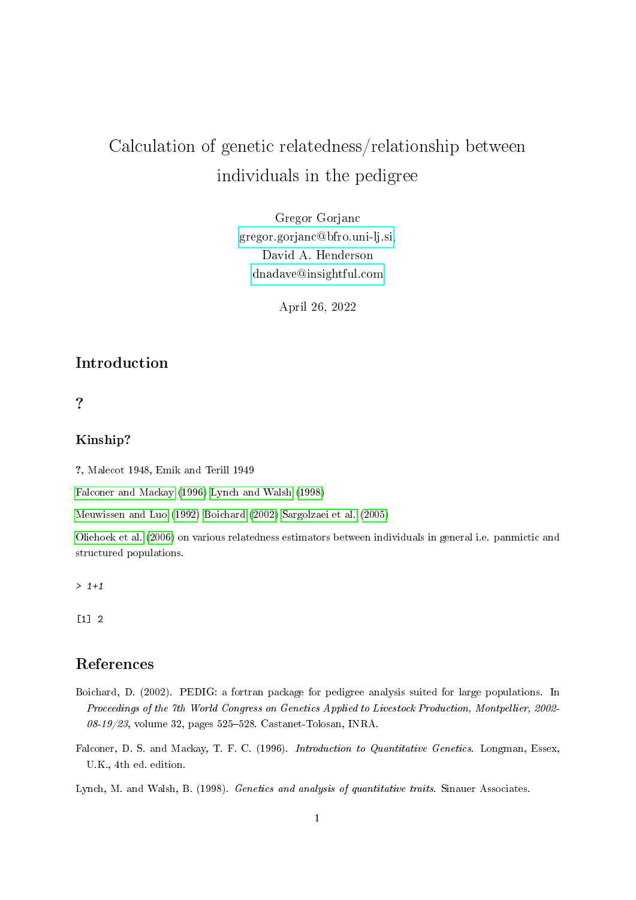# Calculation of genetic relatedness/relationship between individuals in the pedigree

Gregor Gorjanc [gregor.gorjanc@bfro.uni-lj.si,](mailto:gregor.gorjanc@bfro.uni-lj.si) David A. Henderson [dnadave@insightful.com](mailto:dnadave@insightful.com)

April 26, 2022

## Introduction

### ?

#### Kinship?

?, Malecot 1948, Emik and Terill 1949

[Falconer and Mackay](#page-0-0) [\(1996\)](#page-0-0) [Lynch and Walsh](#page-0-1) [\(1998\)](#page-0-1)

[Meuwissen and Luo](#page-1-0) [\(1992\)](#page-1-0) [Boichard](#page-0-2) [\(2002\)](#page-0-2) [Sargolzaei et al.](#page-1-1) [\(2005\)](#page-1-1)

[Oliehoek et al.](#page-1-2) [\(2006\)](#page-1-2) on various relatedness estimators between individuals in general i.e. panmictic and structured populations.

 $> 1+1$ 

[1] 2

### References

- <span id="page-0-2"></span>Boichard, D. (2002). PEDIG: a fortran package for pedigree analysis suited for large populations. In Proceedings of the 7th World Congress on Genetics Applied to Livestock Production, Montpellier, 2002-  $08-19/23$ , volume 32, pages 525–528. Castanet-Tolosan, INRA.
- <span id="page-0-0"></span>Falconer, D. S. and Mackay, T. F. C. (1996). *Introduction to Quantitative Genetics*. Longman, Essex, U.K., 4th ed. edition.

<span id="page-0-1"></span>Lynch, M. and Walsh, B. (1998). Genetics and analysis of quantitative traits. Sinauer Associates.